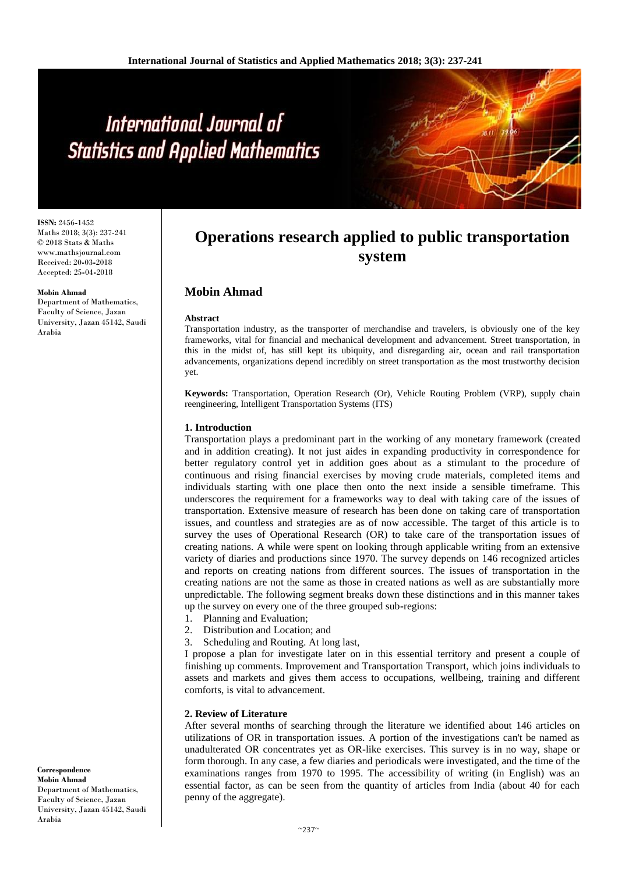# International Journal of **Statistics and Applied Mathematics**

**ISSN:** 2456**-**1452 Maths 2018; 3(3): 237-241 © 2018 Stats & Maths www.mathsjournal.com Received: 20**-**03**-**2018 Accepted: 25**-**04**-**2018

#### **Mobin Ahmad**

Department of Mathematics, Faculty of Science, Jazan University, Jazan 45142, Saudi Arabia

# **Operations research applied to public transportation system**

# **Mobin Ahmad**

#### **Abstract**

Transportation industry, as the transporter of merchandise and travelers, is obviously one of the key frameworks, vital for financial and mechanical development and advancement. Street transportation, in this in the midst of, has still kept its ubiquity, and disregarding air, ocean and rail transportation advancements, organizations depend incredibly on street transportation as the most trustworthy decision yet.

**Keywords:** Transportation, Operation Research (Or), Vehicle Routing Problem (VRP), supply chain reengineering, Intelligent Transportation Systems (ITS)

#### **1. Introduction**

Transportation plays a predominant part in the working of any monetary framework (created and in addition creating). It not just aides in expanding productivity in correspondence for better regulatory control yet in addition goes about as a stimulant to the procedure of continuous and rising financial exercises by moving crude materials, completed items and individuals starting with one place then onto the next inside a sensible timeframe. This underscores the requirement for a frameworks way to deal with taking care of the issues of transportation. Extensive measure of research has been done on taking care of transportation issues, and countless and strategies are as of now accessible. The target of this article is to survey the uses of Operational Research (OR) to take care of the transportation issues of creating nations. A while were spent on looking through applicable writing from an extensive variety of diaries and productions since 1970. The survey depends on 146 recognized articles and reports on creating nations from different sources. The issues of transportation in the creating nations are not the same as those in created nations as well as are substantially more unpredictable. The following segment breaks down these distinctions and in this manner takes up the survey on every one of the three grouped sub**-**regions:

- 1. Planning and Evaluation;
- 2. Distribution and Location; and
- 3. Scheduling and Routing. At long last,

I propose a plan for investigate later on in this essential territory and present a couple of finishing up comments. Improvement and Transportation Transport, which joins individuals to assets and markets and gives them access to occupations, wellbeing, training and different comforts, is vital to advancement.

#### **2. Review of Literature**

After several months of searching through the literature we identified about 146 articles on utilizations of OR in transportation issues. A portion of the investigations can't be named as unadulterated OR concentrates yet as OR**-**like exercises. This survey is in no way, shape or form thorough. In any case, a few diaries and periodicals were investigated, and the time of the examinations ranges from 1970 to 1995. The accessibility of writing (in English) was an essential factor, as can be seen from the quantity of articles from India (about 40 for each penny of the aggregate).

**Correspondence Mobin Ahmad** Department of Mathematics, Faculty of Science, Jazan University, Jazan 45142, Saudi Arabia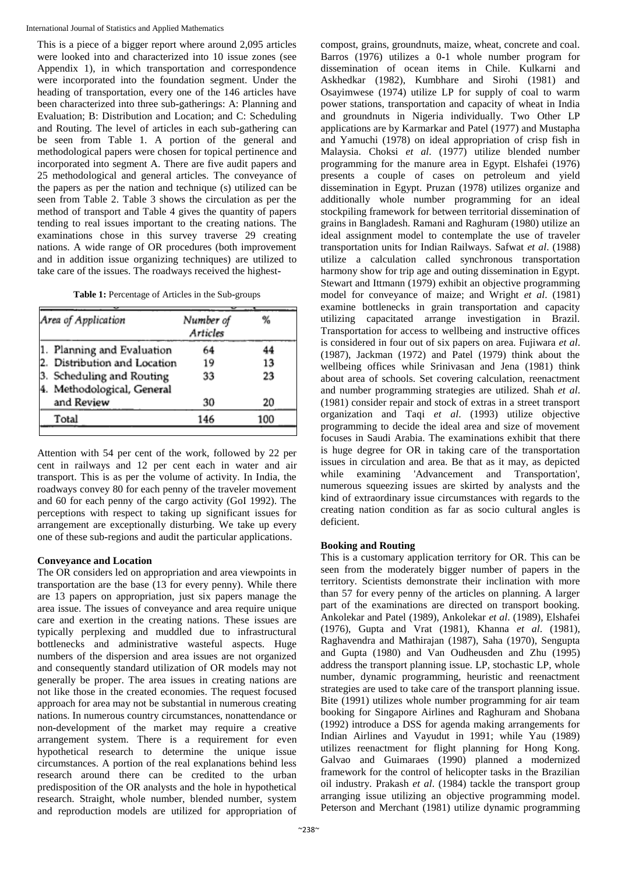This is a piece of a bigger report where around 2,095 articles were looked into and characterized into 10 issue zones (see Appendix 1), in which transportation and correspondence were incorporated into the foundation segment. Under the heading of transportation, every one of the 146 articles have been characterized into three sub**-**gatherings: A: Planning and Evaluation; B: Distribution and Location; and C: Scheduling and Routing. The level of articles in each sub**-**gathering can be seen from Table 1. A portion of the general and methodological papers were chosen for topical pertinence and incorporated into segment A. There are five audit papers and 25 methodological and general articles. The conveyance of the papers as per the nation and technique (s) utilized can be seen from Table 2. Table 3 shows the circulation as per the method of transport and Table 4 gives the quantity of papers tending to real issues important to the creating nations. The examinations chose in this survey traverse 29 creating nations. A wide range of OR procedures (both improvement and in addition issue organizing techniques) are utilized to take care of the issues. The roadways received the highest**-**

| Area of Application                                     | Number of<br>Articles | %   |
|---------------------------------------------------------|-----------------------|-----|
| 1. Planning and Evaluation                              | 64                    | 44  |
| 2. Distribution and Location                            | 19                    | 13  |
| 3. Scheduling and Routing<br>4. Methodological, General | 33                    | 23  |
| and Review                                              | 30                    | 20  |
| Total                                                   | 146                   | 100 |

Attention with 54 per cent of the work, followed by 22 per cent in railways and 12 per cent each in water and air transport. This is as per the volume of activity. In India, the roadways convey 80 for each penny of the traveler movement and 60 for each penny of the cargo activity (GoI 1992). The perceptions with respect to taking up significant issues for arrangement are exceptionally disturbing. We take up every one of these sub**-**regions and audit the particular applications.

## **Conveyance and Location**

The OR considers led on appropriation and area viewpoints in transportation are the base (13 for every penny). While there are 13 papers on appropriation, just six papers manage the area issue. The issues of conveyance and area require unique care and exertion in the creating nations. These issues are typically perplexing and muddled due to infrastructural bottlenecks and administrative wasteful aspects. Huge numbers of the dispersion and area issues are not organized and consequently standard utilization of OR models may not generally be proper. The area issues in creating nations are not like those in the created economies. The request focused approach for area may not be substantial in numerous creating nations. In numerous country circumstances, nonattendance or non**-**development of the market may require a creative arrangement system. There is a requirement for even hypothetical research to determine the unique issue circumstances. A portion of the real explanations behind less research around there can be credited to the urban predisposition of the OR analysts and the hole in hypothetical research. Straight, whole number, blended number, system and reproduction models are utilized for appropriation of

compost, grains, groundnuts, maize, wheat, concrete and coal. Barros (1976) utilizes a 0**-**1 whole number program for dissemination of ocean items in Chile. Kulkarni and Askhedkar (1982), Kumbhare and Sirohi (1981) and Osayimwese (1974) utilize LP for supply of coal to warm power stations, transportation and capacity of wheat in India and groundnuts in Nigeria individually. Two Other LP applications are by Karmarkar and Patel (1977) and Mustapha and Yamuchi (1978) on ideal appropriation of crisp fish in Malaysia. Choksi *et al*. (1977) utilize blended number programming for the manure area in Egypt. Elshafei (1976) presents a couple of cases on petroleum and yield dissemination in Egypt. Pruzan (1978) utilizes organize and additionally whole number programming for an ideal stockpiling framework for between territorial dissemination of grains in Bangladesh. Ramani and Raghuram (1980) utilize an ideal assignment model to contemplate the use of traveler transportation units for Indian Railways. Safwat *et al*. (1988) utilize a calculation called synchronous transportation harmony show for trip age and outing dissemination in Egypt. Stewart and Ittmann (1979) exhibit an objective programming model for conveyance of maize; and Wright *et al*. (1981) examine bottlenecks in grain transportation and capacity utilizing capacitated arrange investigation in Brazil. Transportation for access to wellbeing and instructive offices is considered in four out of six papers on area. Fujiwara *et al*. (1987), Jackman (1972) and Patel (1979) think about the wellbeing offices while Srinivasan and Jena (1981) think about area of schools. Set covering calculation, reenactment and number programming strategies are utilized. Shah *et al*. (1981) consider repair and stock of extras in a street transport organization and Taqi *et al*. (1993) utilize objective programming to decide the ideal area and size of movement focuses in Saudi Arabia. The examinations exhibit that there is huge degree for OR in taking care of the transportation issues in circulation and area. Be that as it may, as depicted while examining 'Advancement and Transportation', numerous squeezing issues are skirted by analysts and the kind of extraordinary issue circumstances with regards to the creating nation condition as far as socio cultural angles is deficient.

## **Booking and Routing**

This is a customary application territory for OR. This can be seen from the moderately bigger number of papers in the territory. Scientists demonstrate their inclination with more than 57 for every penny of the articles on planning. A larger part of the examinations are directed on transport booking. Ankolekar and Patel (1989), Ankolekar *et al*. (1989), Elshafei (1976), Gupta and Vrat (1981), Khanna *et al*. (1981), Raghavendra and Mathirajan (1987), Saha (1970), Sengupta and Gupta (1980) and Van Oudheusden and Zhu (1995) address the transport planning issue. LP, stochastic LP, whole number, dynamic programming, heuristic and reenactment strategies are used to take care of the transport planning issue. Bite (1991) utilizes whole number programming for air team booking for Singapore Airlines and Raghuram and Shobana (1992) introduce a DSS for agenda making arrangements for Indian Airlines and Vayudut in 1991; while Yau (1989) utilizes reenactment for flight planning for Hong Kong. Galvao and Guimaraes (1990) planned a modernized framework for the control of helicopter tasks in the Brazilian oil industry. Prakash *et al*. (1984) tackle the transport group arranging issue utilizing an objective programming model. Peterson and Merchant (1981) utilize dynamic programming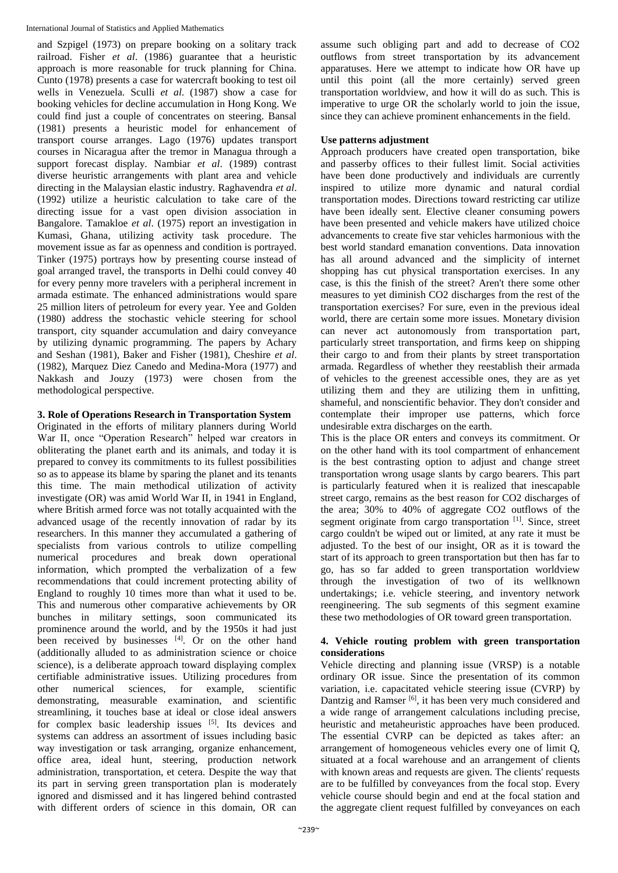and Szpigel (1973) on prepare booking on a solitary track railroad. Fisher *et al*. (1986) guarantee that a heuristic approach is more reasonable for truck planning for China. Cunto (1978) presents a case for watercraft booking to test oil wells in Venezuela. Sculli *et al*. (1987) show a case for booking vehicles for decline accumulation in Hong Kong. We could find just a couple of concentrates on steering. Bansal (1981) presents a heuristic model for enhancement of transport course arranges. Lago (1976) updates transport courses in Nicaragua after the tremor in Managua through a support forecast display. Nambiar *et al*. (1989) contrast diverse heuristic arrangements with plant area and vehicle directing in the Malaysian elastic industry. Raghavendra *et al*. (1992) utilize a heuristic calculation to take care of the directing issue for a vast open division association in Bangalore. Tamakloe *et al*. (1975) report an investigation in Kumasi, Ghana, utilizing activity task procedure. The movement issue as far as openness and condition is portrayed. Tinker (1975) portrays how by presenting course instead of goal arranged travel, the transports in Delhi could convey 40 for every penny more travelers with a peripheral increment in armada estimate. The enhanced administrations would spare 25 million liters of petroleum for every year. Yee and Golden (1980) address the stochastic vehicle steering for school transport, city squander accumulation and dairy conveyance by utilizing dynamic programming. The papers by Achary and Seshan (1981), Baker and Fisher (1981), Cheshire *et al*. (1982), Marquez Diez Canedo and Medina**-**Mora (1977) and Nakkash and Jouzy (1973) were chosen from the methodological perspective.

#### **3. Role of Operations Research in Transportation System**

Originated in the efforts of military planners during World War II, once "Operation Research" helped war creators in obliterating the planet earth and its animals, and today it is prepared to convey its commitments to its fullest possibilities so as to appease its blame by sparing the planet and its tenants this time. The main methodical utilization of activity investigate (OR) was amid World War II, in 1941 in England, where British armed force was not totally acquainted with the advanced usage of the recently innovation of radar by its researchers. In this manner they accumulated a gathering of specialists from various controls to utilize compelling numerical procedures and break down operational information, which prompted the verbalization of a few recommendations that could increment protecting ability of England to roughly 10 times more than what it used to be. This and numerous other comparative achievements by OR bunches in military settings, soon communicated its prominence around the world, and by the 1950s it had just been received by businesses [4]. Or on the other hand (additionally alluded to as administration science or choice science), is a deliberate approach toward displaying complex certifiable administrative issues. Utilizing procedures from other numerical sciences, for example, scientific demonstrating, measurable examination, and scientific streamlining, it touches base at ideal or close ideal answers for complex basic leadership issues [5]. Its devices and systems can address an assortment of issues including basic way investigation or task arranging, organize enhancement, office area, ideal hunt, steering, production network administration, transportation, et cetera. Despite the way that its part in serving green transportation plan is moderately ignored and dismissed and it has lingered behind contrasted with different orders of science in this domain, OR can

assume such obliging part and add to decrease of CO2 outflows from street transportation by its advancement apparatuses. Here we attempt to indicate how OR have up until this point (all the more certainly) served green transportation worldview, and how it will do as such. This is imperative to urge OR the scholarly world to join the issue, since they can achieve prominent enhancements in the field.

#### **Use patterns adjustment**

Approach producers have created open transportation, bike and passerby offices to their fullest limit. Social activities have been done productively and individuals are currently inspired to utilize more dynamic and natural cordial transportation modes. Directions toward restricting car utilize have been ideally sent. Elective cleaner consuming powers have been presented and vehicle makers have utilized choice advancements to create five star vehicles harmonious with the best world standard emanation conventions. Data innovation has all around advanced and the simplicity of internet shopping has cut physical transportation exercises. In any case, is this the finish of the street? Aren't there some other measures to yet diminish CO2 discharges from the rest of the transportation exercises? For sure, even in the previous ideal world, there are certain some more issues. Monetary division can never act autonomously from transportation part, particularly street transportation, and firms keep on shipping their cargo to and from their plants by street transportation armada. Regardless of whether they reestablish their armada of vehicles to the greenest accessible ones, they are as yet utilizing them and they are utilizing them in unfitting, shameful, and nonscientific behavior. They don't consider and contemplate their improper use patterns, which force undesirable extra discharges on the earth.

This is the place OR enters and conveys its commitment. Or on the other hand with its tool compartment of enhancement is the best contrasting option to adjust and change street transportation wrong usage slants by cargo bearers. This part is particularly featured when it is realized that inescapable street cargo, remains as the best reason for CO2 discharges of the area; 30% to 40% of aggregate CO2 outflows of the segment originate from cargo transportation [1]. Since, street cargo couldn't be wiped out or limited, at any rate it must be adjusted. To the best of our insight, OR as it is toward the start of its approach to green transportation but then has far to go, has so far added to green transportation worldview through the investigation of two of its wellknown undertakings; i.e. vehicle steering, and inventory network reengineering. The sub segments of this segment examine these two methodologies of OR toward green transportation.

#### **4. Vehicle routing problem with green transportation considerations**

Vehicle directing and planning issue (VRSP) is a notable ordinary OR issue. Since the presentation of its common variation, i.e. capacitated vehicle steering issue (CVRP) by Dantzig and Ramser<sup>[6]</sup>, it has been very much considered and a wide range of arrangement calculations including precise, heuristic and metaheuristic approaches have been produced. The essential CVRP can be depicted as takes after: an arrangement of homogeneous vehicles every one of limit Q, situated at a focal warehouse and an arrangement of clients with known areas and requests are given. The clients' requests are to be fulfilled by conveyances from the focal stop. Every vehicle course should begin and end at the focal station and the aggregate client request fulfilled by conveyances on each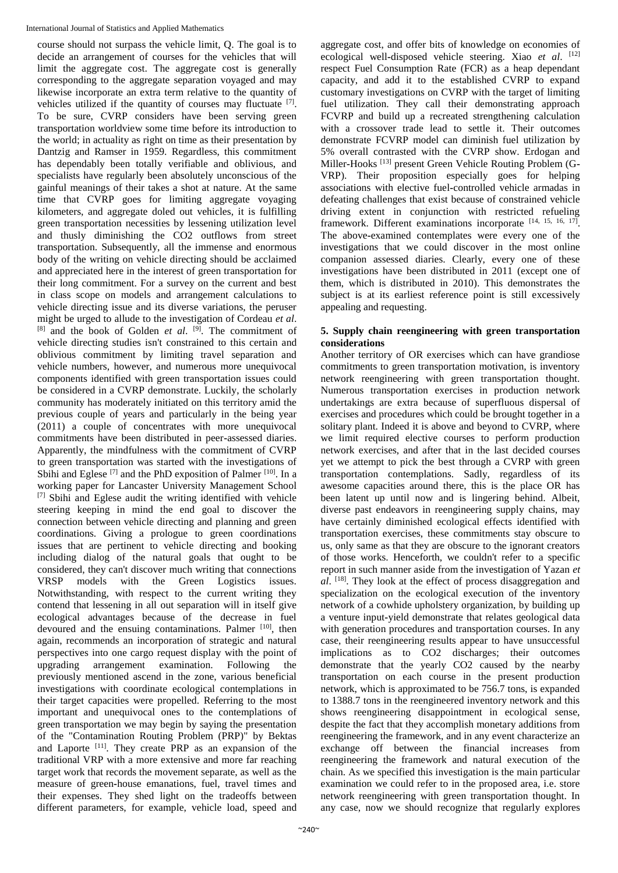course should not surpass the vehicle limit, Q. The goal is to decide an arrangement of courses for the vehicles that will limit the aggregate cost. The aggregate cost is generally corresponding to the aggregate separation voyaged and may likewise incorporate an extra term relative to the quantity of vehicles utilized if the quantity of courses may fluctuate [7]. To be sure, CVRP considers have been serving green transportation worldview some time before its introduction to the world; in actuality as right on time as their presentation by Dantzig and Ramser in 1959. Regardless, this commitment has dependably been totally verifiable and oblivious, and specialists have regularly been absolutely unconscious of the gainful meanings of their takes a shot at nature. At the same time that CVRP goes for limiting aggregate voyaging kilometers, and aggregate doled out vehicles, it is fulfilling green transportation necessities by lessening utilization level and thusly diminishing the CO2 outflows from street transportation. Subsequently, all the immense and enormous body of the writing on vehicle directing should be acclaimed and appreciated here in the interest of green transportation for their long commitment. For a survey on the current and best in class scope on models and arrangement calculations to vehicle directing issue and its diverse variations, the peruser might be urged to allude to the investigation of Cordeau *et al*. [8] and the book of Golden *et al*. [9]. The commitment of vehicle directing studies isn't constrained to this certain and oblivious commitment by limiting travel separation and vehicle numbers, however, and numerous more unequivocal components identified with green transportation issues could be considered in a CVRP demonstrate. Luckily, the scholarly community has moderately initiated on this territory amid the previous couple of years and particularly in the being year (2011) a couple of concentrates with more unequivocal commitments have been distributed in peer**-**assessed diaries. Apparently, the mindfulness with the commitment of CVRP to green transportation was started with the investigations of Sbihi and Eglese  $^{[7]}$  and the PhD exposition of Palmer  $^{[10]}$ . In a working paper for Lancaster University Management School [7] Sbihi and Eglese audit the writing identified with vehicle steering keeping in mind the end goal to discover the connection between vehicle directing and planning and green coordinations. Giving a prologue to green coordinations issues that are pertinent to vehicle directing and booking including dialog of the natural goals that ought to be considered, they can't discover much writing that connections VRSP models with the Green Logistics issues. Notwithstanding, with respect to the current writing they contend that lessening in all out separation will in itself give ecological advantages because of the decrease in fuel devoured and the ensuing contaminations. Palmer [10], then again, recommends an incorporation of strategic and natural perspectives into one cargo request display with the point of upgrading arrangement examination. Following the previously mentioned ascend in the zone, various beneficial investigations with coordinate ecological contemplations in their target capacities were propelled. Referring to the most important and unequivocal ones to the contemplations of green transportation we may begin by saying the presentation of the "Contamination Routing Problem (PRP)" by Bektas and Laporte [11]. They create PRP as an expansion of the traditional VRP with a more extensive and more far reaching target work that records the movement separate, as well as the measure of green**-**house emanations, fuel, travel times and their expenses. They shed light on the tradeoffs between different parameters, for example, vehicle load, speed and

aggregate cost, and offer bits of knowledge on economies of ecological well**-**disposed vehicle steering. Xiao *et al*. [12] respect Fuel Consumption Rate (FCR) as a heap dependant capacity, and add it to the established CVRP to expand customary investigations on CVRP with the target of limiting fuel utilization. They call their demonstrating approach FCVRP and build up a recreated strengthening calculation with a crossover trade lead to settle it. Their outcomes demonstrate FCVRP model can diminish fuel utilization by 5% overall contrasted with the CVRP show. Erdogan and Miller**-**Hooks [13] present Green Vehicle Routing Problem (G**-**VRP). Their proposition especially goes for helping associations with elective fuel**-**controlled vehicle armadas in defeating challenges that exist because of constrained vehicle driving extent in conjunction with restricted refueling framework. Different examinations incorporate [14, 15, 16, 17]. The above**-**examined contemplates were every one of the investigations that we could discover in the most online companion assessed diaries. Clearly, every one of these investigations have been distributed in 2011 (except one of them, which is distributed in 2010). This demonstrates the subject is at its earliest reference point is still excessively appealing and requesting.

#### **5. Supply chain reengineering with green transportation considerations**

Another territory of OR exercises which can have grandiose commitments to green transportation motivation, is inventory network reengineering with green transportation thought. Numerous transportation exercises in production network undertakings are extra because of superfluous dispersal of exercises and procedures which could be brought together in a solitary plant. Indeed it is above and beyond to CVRP, where we limit required elective courses to perform production network exercises, and after that in the last decided courses yet we attempt to pick the best through a CVRP with green transportation contemplations. Sadly, regardless of its awesome capacities around there, this is the place OR has been latent up until now and is lingering behind. Albeit, diverse past endeavors in reengineering supply chains, may have certainly diminished ecological effects identified with transportation exercises, these commitments stay obscure to us, only same as that they are obscure to the ignorant creators of those works. Henceforth, we couldn't refer to a specific report in such manner aside from the investigation of Yazan *et al*. [18]. They look at the effect of process disaggregation and specialization on the ecological execution of the inventory network of a cowhide upholstery organization, by building up a venture input**-**yield demonstrate that relates geological data with generation procedures and transportation courses. In any case, their reengineering results appear to have unsuccessful implications as to CO2 discharges; their outcomes demonstrate that the yearly CO2 caused by the nearby transportation on each course in the present production network, which is approximated to be 756.7 tons, is expanded to 1388.7 tons in the reengineered inventory network and this shows reengineering disappointment in ecological sense, despite the fact that they accomplish monetary additions from reengineering the framework, and in any event characterize an exchange off between the financial increases from reengineering the framework and natural execution of the chain. As we specified this investigation is the main particular examination we could refer to in the proposed area, i.e. store network reengineering with green transportation thought. In any case, now we should recognize that regularly explores